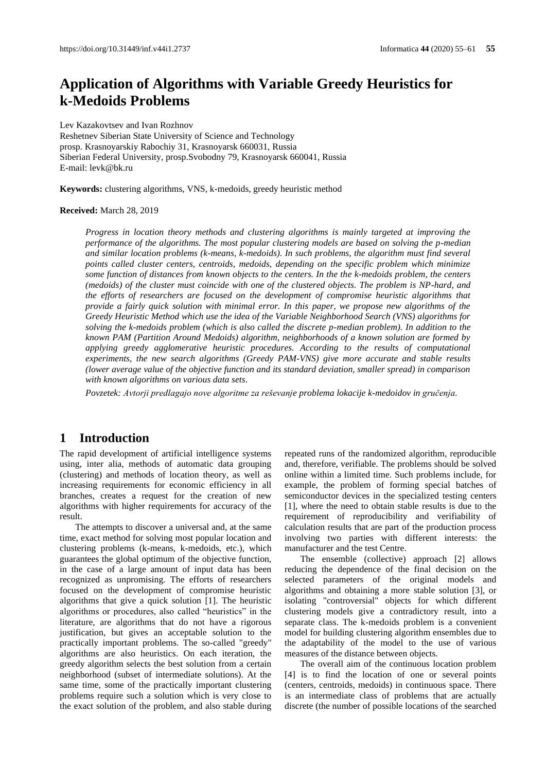# **Application of Algorithms with Variable Greedy Heuristics for k-Medoids Problems**

Lev Kazakovtsev and Ivan Rozhnov Reshetnev Siberian State University of Science and Technology prosp. Krasnoyarskiy Rabochiy 31, Krasnoyarsk 660031, Russia Siberian Federal University, prosp.Svobodny 79, Krasnoyarsk 660041, Russia E-mail[: levk@bk.ru](mailto:levk@bk.ru)

**Keywords:** clustering algorithms, VNS, k-medoids, greedy heuristic method

#### **Received:** March 28, 2019

*Progress in location theory methods and clustering algorithms is mainly targeted at improving the performance of the algorithms. The most popular clustering models are based on solving the p-median and similar location problems (k-means, k-medoids). In such problems, the algorithm must find several points called cluster centers, centroids, medoids, depending on the specific problem which minimize some function of distances from known objects to the centers. In the the k-medoids problem, the centers (medoids) of the cluster must coincide with one of the clustered objects. The problem is NP-hard, and the efforts of researchers are focused on the development of compromise heuristic algorithms that provide a fairly quick solution with minimal error. In this paper, we propose new algorithms of the Greedy Heuristic Method which use the idea of the Variable Neighborhood Search (VNS) algorithms for solving the k-medoids problem (which is also called the discrete p-median problem). In addition to the known PAM (Partition Around Medoids) algorithm, neighborhoods of a known solution are formed by applying greedy agglomerative heuristic procedures. According to the results of computational experiments, the new search algorithms (Greedy PAM-VNS) give more accurate and stable results (lower average value of the objective function and its standard deviation, smaller spread) in comparison with known algorithms on various data sets.*

*Povzetek: Avtorji predlagajo nove algoritme za reševanje problema lokacije k-medoidov in gručenja.*

# **1 Introduction**

The rapid development of artificial intelligence systems using, inter alia, methods of automatic data grouping (clustering) and methods of location theory, as well as increasing requirements for economic efficiency in all branches, creates a request for the creation of new algorithms with higher requirements for accuracy of the result.

The attempts to discover a universal and, at the same time, exact method for solving most popular location and clustering problems (k-means, k-medoids, etc.), which guarantees the global optimum of the objective function, in the case of a large amount of input data has been recognized as unpromising. The efforts of researchers focused on the development of compromise heuristic algorithms that give a quick solution [1]. The heuristic algorithms or procedures, also called "heuristics" in the literature, are algorithms that do not have a rigorous justification, but gives an acceptable solution to the practically important problems. The so-called "greedy" algorithms are also heuristics. On each iteration, the greedy algorithm selects the best solution from a certain neighborhood (subset of intermediate solutions). At the same time, some of the practically important clustering problems require such a solution which is very close to the exact solution of the problem, and also stable during

repeated runs of the randomized algorithm, reproducible and, therefore, verifiable. The problems should be solved online within a limited time. Such problems include, for example, the problem of forming special batches of semiconductor devices in the specialized testing centers [1], where the need to obtain stable results is due to the requirement of reproducibility and verifiability of calculation results that are part of the production process involving two parties with different interests: the manufacturer and the test Centre.

The ensemble (collective) approach [2] allows reducing the dependence of the final decision on the selected parameters of the original models and algorithms and obtaining a more stable solution [3], or isolating "controversial" objects for which different clustering models give a contradictory result, into a separate class. The k-medoids problem is a convenient model for building clustering algorithm ensembles due to the adaptability of the model to the use of various measures of the distance between objects.

The overall aim of the continuous location problem [4] is to find the location of one or several points (centers, centroids, medoids) in continuous space. There is an intermediate class of problems that are actually discrete (the number of possible locations of the searched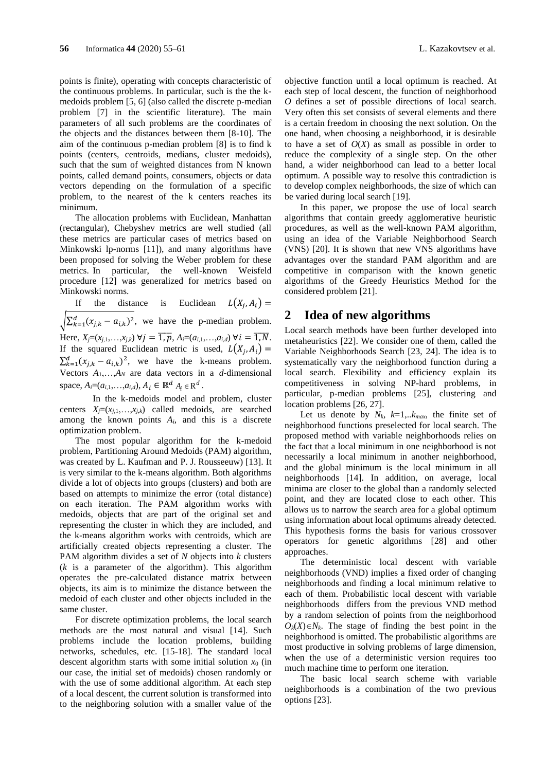points is finite), operating with concepts characteristic of the continuous problems. In particular, such is the the kmedoids problem [5, 6] (also called the discrete p-median problem [7] in the scientific literature). The main parameters of all such problems are the coordinates of the objects and the distances between them [8-10]. The aim of the continuous p-median problem [8] is to find k points (centers, centroids, medians, cluster medoids), such that the sum of weighted distances from N known points, called demand points, consumers, objects or data vectors depending on the formulation of a specific problem, to the nearest of the k centers reaches its minimum.

The allocation problems with Euclidean, Manhattan (rectangular), Chebyshev metrics are well studied (all these metrics are particular cases of metrics based on Minkowski lp-norms [11]), and many algorithms have been proposed for solving the Weber problem for these metrics. In particular, the well-known Weisfeld procedure [12] was generalized for metrics based on Minkowski norms.

If the distance is Euclidean  $L(X_j, A_i) =$  $\sqrt{\sum_{k=1}^{d}(x_{j,k} - a_{i,k})^2}$ , we have the p-median problem. Here, *X<sub>j</sub>*=(*x*<sub>*j*,1</sub>,…,*x*<sub>*j*,*k*</sub>) ∀*j* =  $\overline{1, p}$ , *A<sub>i</sub>*=(*a*<sub>*i*,1</sub>,…,*a*<sub>*i*,*d*</sub>) ∀*i* =  $\overline{1, N}$ . If the squared Euclidean metric is used,  $L(X_j, A_i) =$  $\sum_{k=1}^{d} (x_{j,k} - a_{i,k})^2$ , we have the k-means problem. Vectors  $A_1, \ldots, A_N$  are data vectors in a *d*-dimensional space,  $A_i = (a_{i,1},...,a_{i,d})$ ,  $A_i \in \mathbb{R}^d$   $A_i \in \mathbb{R}^d$ .

In the k-medoids model and problem, cluster centers  $X_j = (x_{j,1},...,x_{j,k})$  called medoids, are searched among the known points *Ai*, and this is a discrete optimization problem.

The most popular algorithm for the k-medoid problem, Partitioning Around Medoids (PAM) algorithm, was created by L. Kaufman and P. J. Rousseeuw) [13]. It is very similar to the k-means algorithm. Both algorithms divide a lot of objects into groups (clusters) and both are based on attempts to minimize the error (total distance) on each iteration. The PAM algorithm works with medoids, objects that are part of the original set and representing the cluster in which they are included, and the k-means algorithm works with centroids, which are artificially created objects representing a cluster. The PAM algorithm divides a set of *N* objects into *k* clusters (*k* is a parameter of the algorithm). This algorithm operates the pre-calculated distance matrix between objects, its aim is to minimize the distance between the medoid of each cluster and other objects included in the same cluster.

For discrete optimization problems, the local search methods are the most natural and visual [14]. Such problems include the location problems, building networks, schedules, etc. [15-18]. The standard local descent algorithm starts with some initial solution  $x_0$  (in our case, the initial set of medoids) chosen randomly or with the use of some additional algorithm. At each step of a local descent, the current solution is transformed into to the neighboring solution with a smaller value of the

objective function until a local optimum is reached. At each step of local descent, the function of neighborhood *O* defines a set of possible directions of local search. Very often this set consists of several elements and there is a certain freedom in choosing the next solution. On the one hand, when choosing a neighborhood, it is desirable to have a set of  $O(X)$  as small as possible in order to reduce the complexity of a single step. On the other hand, a wider neighborhood can lead to a better local optimum. A possible way to resolve this contradiction is to develop complex neighborhoods, the size of which can be varied during local search [19].

In this paper, we propose the use of local search algorithms that contain greedy agglomerative heuristic procedures, as well as the well-known PAM algorithm, using an idea of the Variable Neighborhood Search (VNS) [20]. It is shown that new VNS algorithms have advantages over the standard PAM algorithm and are competitive in comparison with the known genetic algorithms of the Greedy Heuristics Method for the considered problem [21].

### **2 Idea of new algorithms**

Local search methods have been further developed into metaheuristics [22]. We consider one of them, called the Variable Neighborhoods Search [23, 24]. The idea is to systematically vary the neighborhood function during a local search. Flexibility and efficiency explain its competitiveness in solving NP-hard problems, in particular, p-median problems [25], clustering and location problems [26, 27].

Let us denote by  $N_k$ ,  $k=1,..k_{max}$ , the finite set of neighborhood functions preselected for local search. The proposed method with variable neighborhoods relies on the fact that a local minimum in one neighborhood is not necessarily a local minimum in another neighborhood, and the global minimum is the local minimum in all neighborhoods [14]. In addition, on average, local minima are closer to the global than a randomly selected point, and they are located close to each other. This allows us to narrow the search area for a global optimum using information about local optimums already detected. This hypothesis forms the basis for various crossover operators for genetic algorithms [28] and other approaches.

The deterministic local descent with variable neighborhoods (VND) implies a fixed order of changing neighborhoods and finding a local minimum relative to each of them. Probabilistic local descent with variable neighborhoods differs from the previous VND method by a random selection of points from the neighborhood  $O_k(X) \in N_k$ . The stage of finding the best point in the neighborhood is omitted. The probabilistic algorithms are most productive in solving problems of large dimension, when the use of a deterministic version requires too much machine time to perform one iteration.

The basic local search scheme with variable neighborhoods is a combination of the two previous options [23].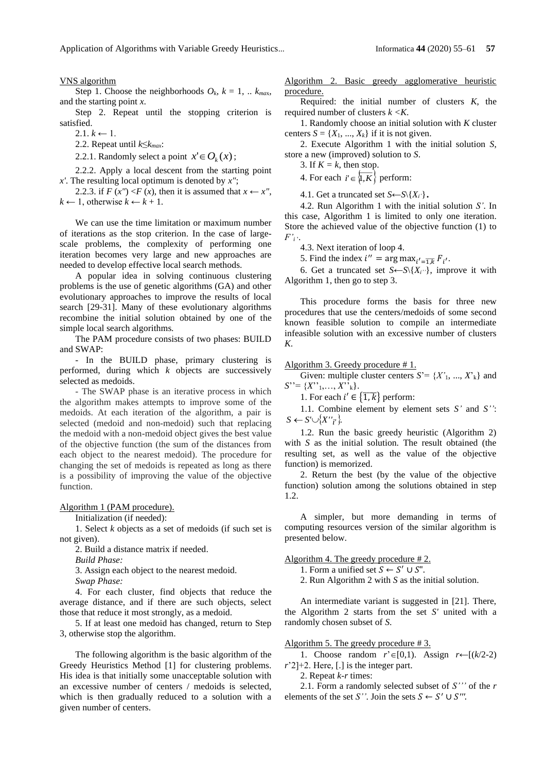VNS algorithm

Step 1. Choose the neighborhoods  $O_k$ ,  $k = 1$ , ..  $k_{max}$ , and the starting point *x*.

Step 2. Repeat until the stopping criterion is satisfied.

 $2.1. k \leftarrow 1.$ 

2.2. Repeat until *k*≤*kmax*:

2.2.1. Randomly select a point  $x' \in O_k(x)$ ;

2.2.2. Apply a local descent from the starting point *x'*. The resulting local optimum is denoted by *x"*;

2.2.3. if  $F(x'') < F(x)$ , then it is assumed that  $x \leftarrow x''$ ,  $k$  ← 1, otherwise  $k$  ←  $k$  + 1.

We can use the time limitation or maximum number of iterations as the stop criterion. In the case of largescale problems, the complexity of performing one iteration becomes very large and new approaches are needed to develop effective local search methods.

A popular idea in solving continuous clustering problems is the use of genetic algorithms (GA) and other evolutionary approaches to improve the results of local search [29-31]. Many of these evolutionary algorithms recombine the initial solution obtained by one of the simple local search algorithms.

The PAM procedure consists of two phases: BUILD and SWAP:

- In the BUILD phase, primary clustering is performed, during which *k* objects are successively selected as medoids.

- The SWAP phase is an iterative process in which the algorithm makes attempts to improve some of the medoids. At each iteration of the algorithm, a pair is selected (medoid and non-medoid) such that replacing the medoid with a non-medoid object gives the best value of the objective function (the sum of the distances from each object to the nearest medoid). The procedure for changing the set of medoids is repeated as long as there is a possibility of improving the value of the objective function.

Algorithm 1 (PAM procedure).

Initialization (if needed):

1. Select *k* objects as a set of medoids (if such set is not given).

2. Build a distance matrix if needed.

*Build Phase:*

3. Assign each object to the nearest medoid.

*Swap Phase:*

4. For each cluster, find objects that reduce the average distance, and if there are such objects, select those that reduce it most strongly, as a medoid.

5. If at least one medoid has changed, return to Step 3, otherwise stop the algorithm.

The following algorithm is the basic algorithm of the Greedy Heuristics Method [1] for clustering problems. His idea is that initially some unacceptable solution with an excessive number of centers / medoids is selected, which is then gradually reduced to a solution with a given number of centers.

Algorithm 2. Basic greedy agglomerative heuristic procedure.

Required: the initial number of clusters *K*, the required number of clusters *k <K*.

1. Randomly choose an initial solution with *K* cluster centers  $S = \{X_1, ..., X_k\}$  if it is not given.

2. Execute Algorithm 1 with the initial solution *S*, store a new (improved) solution to *S*.

3. If  $K = k$ , then stop.

4. For each  $i' \in \{1, K\}$  perform:

4.1. Get a truncated set  $S \leftarrow S \{X_i\}$ .

4.2. Run Algorithm 1 with the initial solution *S'*. In this case, Algorithm 1 is limited to only one iteration. Store the achieved value of the objective function (1) to  $F'$ <sup>*i*</sup>  $\cdot$ </sup>.

4.3. Next iteration of loop 4.

5. Find the index  $i'' = \arg \max_{i' = \overline{1,k}} F_{i'}$ .

6. Get a truncated set  $S \leftarrow S \{X_i'\}$ , improve it with Algorithm 1, then go to step 3.

This procedure forms the basis for three new procedures that use the centers/medoids of some second known feasible solution to compile an intermediate infeasible solution with an excessive number of clusters *K*.

Algorithm 3. Greedy procedure # 1.

Given: multiple cluster centers  $S = \{X'$ <sub>1</sub>, ...,  $X'$ <sub>k</sub>} and *S*''= {*X*''1,…, *X*''k}.

1. For each  $i' \in {\overline{1,k}}$  perform:

1.1. Combine element by element sets *S'* and *S''*:  $S \leftarrow S' \cup \{X''_{i'}\}.$ 

1.2. Run the basic greedy heuristic (Algorithm 2) with *S* as the initial solution. The result obtained (the resulting set, as well as the value of the objective function) is memorized.

2. Return the best (by the value of the objective function) solution among the solutions obtained in step 1.2.

A simpler, but more demanding in terms of computing resources version of the similar algorithm is presented below.

Algorithm 4. The greedy procedure # 2.

- 1. Form a unified set  $S \leftarrow S' \cup S''$ .
- 2. Run Algorithm 2 with *S* as the initial solution.

An intermediate variant is suggested in [21]. There, the Algorithm 2 starts from the set *S'* united with a randomly chosen subset of *S*.

Algorithm 5. The greedy procedure #3.

1. Choose random  $r' \in [0,1)$ . Assign  $r \leftarrow [(k/2-2)$ *r*'2]+2. Here, [.] is the integer part.

2. Repeat *k-r* times:

2.1. Form a randomly selected subset of *S'''* of the *r*  elements of the set *S''*. Join the sets  $S \leftarrow S' \cup S'''$ .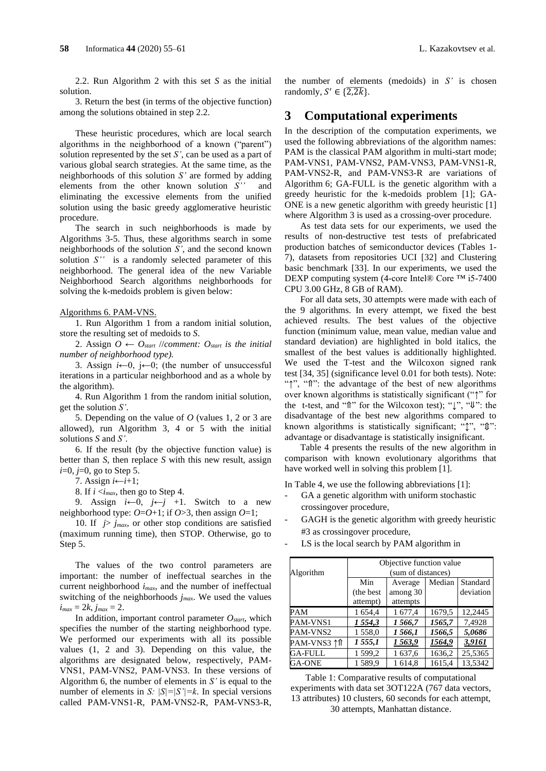2.2. Run Algorithm 2 with this set *S* as the initial solution.

3. Return the best (in terms of the objective function) among the solutions obtained in step 2.2.

These heuristic procedures, which are local search algorithms in the neighborhood of a known ("parent") solution represented by the set *S'*, can be used as a part of various global search strategies. At the same time, as the neighborhoods of this solution *S'* are formed by adding elements from the other known solution *S''* and eliminating the excessive elements from the unified solution using the basic greedy agglomerative heuristic procedure.

The search in such neighborhoods is made by Algorithms 3-5. Thus, these algorithms search in some neighborhoods of the solution *S'*, and the second known solution *S''* is a randomly selected parameter of this neighborhood. The general idea of the new Variable Neighborhood Search algorithms neighborhoods for solving the k-medoids problem is given below:

#### Algorithms 6. PAM-VNS.

1. Run Algorithm 1 from a random initial solution, store the resulting set of medoids to *S*.

2. Assign  $O \leftarrow O_{start}$  //*comment:*  $O_{start}$  *is the initial number of neighborhood type).*

3. Assign  $i \leftarrow 0$ ,  $j \leftarrow 0$ ; (the number of unsuccessful iterations in a particular neighborhood and as a whole by the algorithm).

4. Run Algorithm 1 from the random initial solution, get the solution *S'*.

5. Depending on the value of *O* (values 1, 2 or 3 are allowed), run Algorithm 3, 4 or 5 with the initial solutions *S* and *S'*.

6. If the result (by the objective function value) is better than *S*, then replace *S* with this new result, assign *i*=0, *j*=0, go to Step 5.

7. Assign *i*←*i*+1;

8. If *i* <*imax*, then go to Step 4.

9. Assign  $i \leftarrow 0$ ,  $j \leftarrow j$  +1. Switch to a new neighborhood type:  $O=O+1$ ; if  $O>3$ , then assign  $O=1$ ;

10. If  $j > j_{max}$ , or other stop conditions are satisfied (maximum running time), then STOP. Otherwise, go to Step 5.

The values of the two control parameters are important: the number of ineffectual searches in the current neighborhood *imax*, and the number of ineffectual switching of the neighborhoods *jmax*. We used the values  $i_{max} = 2k$ ,  $j_{max} = 2$ .

In addition, important control parameter  $O_{\text{start}}$ , which specifies the number of the starting neighborhood type. We performed our experiments with all its possible values (1, 2 and 3). Depending on this value, the algorithms are designated below, respectively, PAM-VNS1, PAM-VNS2, PAM-VNS3. In these versions of Algorithm 6, the number of elements in *S'* is equal to the number of elements in *S: |S|=|S'|=k*. In special versions called PAM-VNS1-R, PAM-VNS2-R, PAM-VNS3-R,

the number of elements (medoids) in *S'* is chosen randomly,  $S' \in \{2, 2k\}$ .

### **3 Computational experiments**

In the description of the computation experiments, we used the following abbreviations of the algorithm names: PAM is the classical PAM algorithm in multi-start mode; PAM-VNS1, PAM-VNS2, PAM-VNS3, PAM-VNS1-R, PAM-VNS2-R, and PAM-VNS3-R are variations of Algorithm 6; GA-FULL is the genetic algorithm with a greedy heuristic for the k-medoids problem [1]; GA-ONE is a new genetic algorithm with greedy heuristic [1] where Algorithm 3 is used as a crossing-over procedure.

As test data sets for our experiments, we used the results of non-destructive test tests of prefabricated production batches of semiconductor devices (Tables 1- 7), datasets from repositories UCI [32] and Clustering basic benchmark [33]. In our experiments, we used the DEXP computing system (4-core Intel® Core ™ i5-7400 CPU 3.00 GHz, 8 GB of RAM).

For all data sets, 30 attempts were made with each of the 9 algorithms. In every attempt, we fixed the best achieved results. The best values of the objective function (minimum value, mean value, median value and standard deviation) are highlighted in bold italics, the smallest of the best values is additionally highlighted. We used the T-test and the Wilcoxon signed rank test [34, 35] (significance level 0.01 for both tests). Note: "↑", "⇑": the advantage of the best of new algorithms over known algorithms is statistically significant ("↑" for the t-test, and "⇑" for the Wilcoxon test); "↓", "⇓": the disadvantage of the best new algorithms compared to known algorithms is statistically significant; "<sup>↑</sup>, "<sup>0</sup>": advantage or disadvantage is statistically insignificant.

Table 4 presents the results of the new algorithm in comparison with known evolutionary algorithms that have worked well in solving this problem [1].

In Table 4, we use the following abbreviations [1]:

- GA a genetic algorithm with uniform stochastic crossingover procedure,
- GAGH is the genetic algorithm with greedy heuristic #3 as crossingover procedure,
- LS is the local search by PAM algorithm in

|             | Objective function value |                               |        |           |  |  |  |
|-------------|--------------------------|-------------------------------|--------|-----------|--|--|--|
| Algorithm   | (sum of distances)       |                               |        |           |  |  |  |
|             | Min                      | Median<br>Standard<br>Average |        |           |  |  |  |
|             | (the best)               | among 30                      |        | deviation |  |  |  |
|             | attempt)                 | attempts                      |        |           |  |  |  |
| PAM         | 1 654,4                  | 1 677,4                       | 1679.5 | 12,2445   |  |  |  |
| PAM-VNS1    | 1 554,3                  | 1 566,7                       | 1565,7 | 7.4928    |  |  |  |
| PAM-VNS2    | 1558,0                   | 1 566,1                       | 1566,5 | 5,0686    |  |  |  |
| PAM-VNS3 ↑↑ | 1 555,1                  | 1563,9                        | 1564,9 | 3,9161    |  |  |  |
| GA-FULL     | 1 599,2                  | 1 637,6                       | 1636,2 | 25,5365   |  |  |  |
| GA-ONE      | 1589,9                   | 1 614.8                       | 1615,4 | 13,5342   |  |  |  |

Table 1: Comparative results of computational experiments with data set 3OT122A (767 data vectors, 13 attributes) 10 clusters, 60 seconds for each attempt, 30 attempts, Manhattan distance.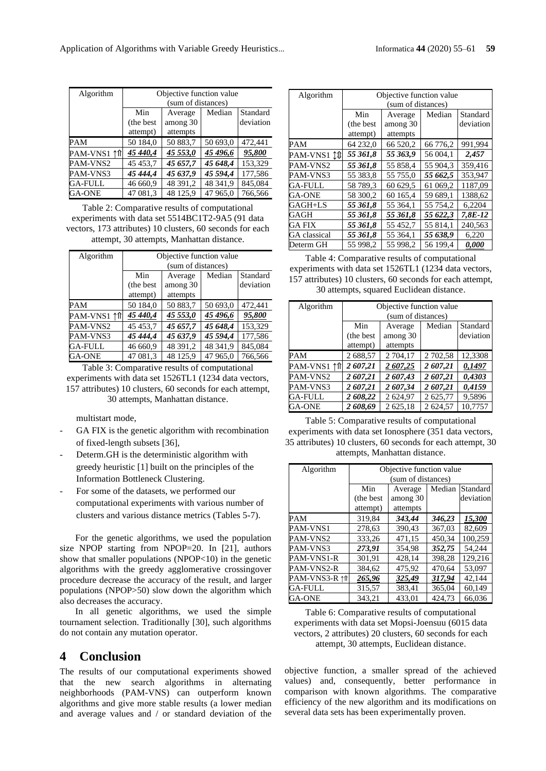| Algorithm      | Objective function value |                               |          |           |  |  |  |
|----------------|--------------------------|-------------------------------|----------|-----------|--|--|--|
|                | (sum of distances)       |                               |          |           |  |  |  |
|                | Min                      | Standard<br>Median<br>Average |          |           |  |  |  |
|                | (the best)               | among 30                      |          | deviation |  |  |  |
|                | attempt)                 | attempts                      |          |           |  |  |  |
| PAM            | 50 184,0                 | 50 883,7                      | 50 693,0 | 472,441   |  |  |  |
| PAM-VNS1 ↑↑    | 45 440,4                 | 45 553,0                      | 45 496,6 | 95,800    |  |  |  |
| PAM-VNS2       | 45 453,7                 | 45 657,7                      | 45 648,4 | 153.329   |  |  |  |
| PAM-VNS3       | 45 444,4                 | 45 637,9                      | 45 594,4 | 177,586   |  |  |  |
| <b>GA-FULL</b> | 46 660,9                 | 48 391,2                      | 48 341,9 | 845,084   |  |  |  |
| <b>GA-ONE</b>  | 47 081.3                 | 48 125.9                      | 47 965,0 | 766.566   |  |  |  |

Table 2: Comparative results of computational experiments with data set 5514BC1T2-9A5 (91 data vectors, 173 attributes) 10 clusters, 60 seconds for each attempt, 30 attempts, Manhattan distance.

| Algorithm      | Objective function value<br>(sum of distances) |                                 |          |                       |
|----------------|------------------------------------------------|---------------------------------|----------|-----------------------|
|                | Min<br>(the best)<br>attempt)                  | Average<br>among 30<br>attempts | Median   | Standard<br>deviation |
| <b>PAM</b>     | 50 184,0                                       | 50 883,7                        | 50 693,0 | 472,441               |
| PAM-VNS1 ↑↑    | 45 440,4                                       | 45 553,0                        | 45 496,6 | 95,800                |
| PAM-VNS2       | 45 45 3.7                                      | 45 657,7                        | 45 648,4 | 153.329               |
| PAM-VNS3       | 45 444,4                                       | 45 637,9                        | 45 594,4 | 177,586               |
| <b>GA-FULL</b> | 46 660,9                                       | 48 391,2                        | 48 341,9 | 845,084               |
| GA-ONE         | 47 081,3                                       | 48 125,9                        | 47 965,0 | 766,566               |

Table 3: Comparative results of computational experiments with data set 1526TL1 (1234 data vectors, 157 attributes) 10 clusters, 60 seconds for each attempt, 30 attempts, Manhattan distance.

multistart mode,

- GA FIX is the genetic algorithm with recombination of fixed-length subsets [36],
- Determ.GH is the deterministic algorithm with greedy heuristic [1] built on the principles of the Information Bottleneck Clustering.
- For some of the datasets, we performed our computational experiments with various number of clusters and various distance metrics (Tables 5-7).

For the genetic algorithms, we used the population size NPOP starting from NPOP=20. In [21], authors show that smaller populations (NPOP<10) in the genetic algorithms with the greedy agglomerative crossingover procedure decrease the accuracy of the result, and larger populations (NPOP>50) slow down the algorithm which also decreases the accuracy.

In all genetic algorithms, we used the simple tournament selection. Traditionally [30], such algorithms do not contain any mutation operator.

# **4 Conclusion**

The results of our computational experiments showed that the new search algorithms in alternating neighborhoods (PAM-VNS) can outperform known algorithms and give more stable results (a lower median and average values and / or standard deviation of the

| Algorithm           | Objective function value             |          |          |           |  |  |
|---------------------|--------------------------------------|----------|----------|-----------|--|--|
|                     | (sum of distances)                   |          |          |           |  |  |
|                     | Standard<br>Min<br>Median<br>Average |          |          |           |  |  |
|                     | (the best)                           | among 30 |          | deviation |  |  |
|                     | attempt)                             | attempts |          |           |  |  |
| PAM                 | 64 232,0                             | 66 520,2 | 66 776,2 | 991,994   |  |  |
| PAM-VNS1 ↑↑         | 55 361,8                             | 55 363,9 | 56 004,1 | 2,457     |  |  |
| PAM-VNS2            | 55 361,8                             | 55 858,4 | 55 904.3 | 359,416   |  |  |
| PAM-VNS3            | 55 383,8                             | 55 755,0 | 55 662,5 | 353.947   |  |  |
| <b>GA-FULL</b>      | 58 789.3                             | 60 629.5 | 61 069,2 | 1187.09   |  |  |
| <b>GA-ONE</b>       | 58 300,2                             | 60 165,4 | 59 689.1 | 1388,62   |  |  |
| GAGH+LS             | 55 361.8                             | 55 364.1 | 55 754.2 | 6.2204    |  |  |
| GAGH                | 55 361.8                             | 55 361.8 | 55 622,3 | 7.8E-12   |  |  |
| GA FIX              | 55 361,8                             | 55 452,7 | 55 814,1 | 240,563   |  |  |
| <b>GA</b> classical | 55 361,8                             | 55 364,1 | 55 638,9 | 6,220     |  |  |
| Determ GH           | 55 998.2                             | 55 998.2 | 56 199,4 | 0,000     |  |  |

Table 4: Comparative results of computational experiments with data set 1526TL1 (1234 data vectors, 157 attributes) 10 clusters, 60 seconds for each attempt, 30 attempts, squared Euclidean distance.

| Algorithm      | Objective function value |                               |          |           |  |  |  |
|----------------|--------------------------|-------------------------------|----------|-----------|--|--|--|
|                | (sum of distances)       |                               |          |           |  |  |  |
|                | Min                      | Median<br>Standard<br>Average |          |           |  |  |  |
|                | (the best)               | among 30                      |          | deviation |  |  |  |
|                | attempt)                 | attempts                      |          |           |  |  |  |
| PAM            | 2 688,57                 | 2 704.17                      | 2 702.58 | 12.3308   |  |  |  |
| PAM-VNS1 ↑↑    | 2 607,21                 | 2 607,25                      | 2 607,21 | 0,1497    |  |  |  |
| PAM-VNS2       | 2 607,21                 | 2 607,43                      | 2 607,21 | 0.4303    |  |  |  |
| PAM-VNS3       | 2 607,21                 | 2 607,34                      | 2 607,21 | 0,4159    |  |  |  |
| <b>GA-FULL</b> | 2 608,22                 | 2 624,97                      | 2 625,77 | 9,5896    |  |  |  |
| GA-ONE         | 2 608,69                 | 2 625.18                      | 2 624,57 | 10.7757   |  |  |  |

Table 5: Comparative results of computational experiments with data set Ionosphere (351 data vectors, 35 attributes) 10 clusters, 60 seconds for each attempt, 30 attempts, Manhattan distance.

| Algorithm     | Objective function value             |          |        |           |  |  |
|---------------|--------------------------------------|----------|--------|-----------|--|--|
|               | (sum of distances)                   |          |        |           |  |  |
|               | Standard<br>Min<br>Median<br>Average |          |        |           |  |  |
|               | (the best)                           | among 30 |        | deviation |  |  |
|               | attempt)                             | attempts |        |           |  |  |
| PAM           | 319,84                               | 343,44   | 346,23 | 15,300    |  |  |
| PAM-VNS1      | 278.63                               | 390.43   | 367.03 | 82,609    |  |  |
| PAM-VNS2      | 333,26                               | 471,15   | 450.34 | 100,259   |  |  |
| PAM-VNS3      | 273,91                               | 354.98   | 352,75 | 54.244    |  |  |
| PAM-VNS1-R    | 301,91                               | 428,14   | 398.28 | 129,216   |  |  |
| PAM-VNS2-R    | 384,62                               | 475,92   | 470,64 | 53,097    |  |  |
| PAM-VNS3-R ↑↑ | 265,96                               | 325.49   | 317.94 | 42,144    |  |  |
| GA-FULL       | 315,57                               | 383,41   | 365,04 | 60,149    |  |  |
| <b>GA-ONE</b> | 343.21                               | 433.01   | 424,73 | 66,036    |  |  |

Table 6: Comparative results of computational experiments with data set Mopsi-Joensuu (6015 data vectors, 2 attributes) 20 clusters, 60 seconds for each attempt, 30 attempts, Euclidean distance.

objective function, a smaller spread of the achieved values) and, consequently, better performance in comparison with known algorithms. The comparative efficiency of the new algorithm and its modifications on several data sets has been experimentally proven.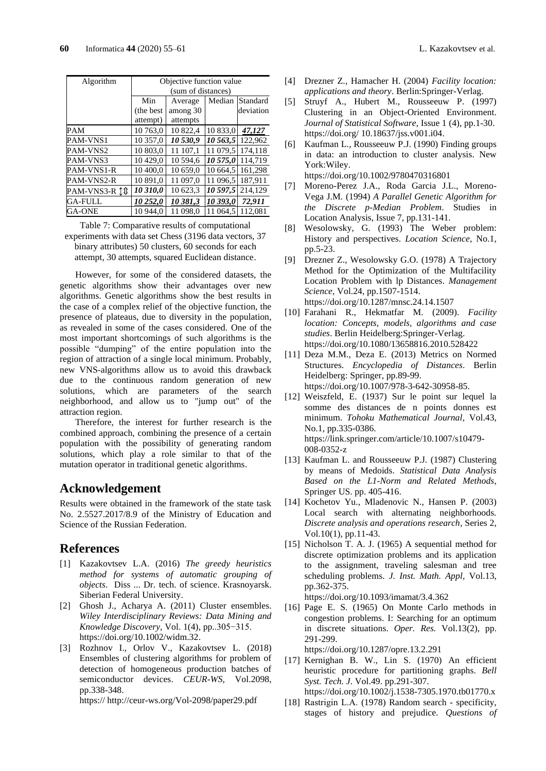| Algorithm         | Objective function value             |          |          |           |  |  |
|-------------------|--------------------------------------|----------|----------|-----------|--|--|
|                   | (sum of distances)                   |          |          |           |  |  |
|                   | Min<br>Median<br>Standard<br>Average |          |          |           |  |  |
|                   | (the best)                           | among 30 |          | deviation |  |  |
|                   | attempt)                             | attempts |          |           |  |  |
| <b>PAM</b>        | 10 763.0                             | 10822.4  | 10 833,0 | 47.127    |  |  |
| PAM-VNS1          | 10 357,0                             | 10530,9  | 10 563,5 | 122.962   |  |  |
| PAM-VNS2          | 10 803.0                             | 11 107.1 | 11 079,5 | 174.118   |  |  |
| PAM-VNS3          | 10429,0                              | 10 594.6 | 10 575,0 | 114.719   |  |  |
| <b>PAM-VNS1-R</b> | 10 400.0                             | 10 659,0 | 10 664,5 | 161.298   |  |  |
| PAM-VNS2-R        | 10 891.0                             | 11 097.0 | 11 096.5 | 187.911   |  |  |
| PAM-VNS3-R 10     | 10 310,0                             | 10 623,3 | 10 597,5 | 214.129   |  |  |
| <b>GA-FULL</b>    | 10 252,0                             | 10 381,3 | 10 393,0 | 72.911    |  |  |
| GA-ONE            | 10 944.0                             | 11 098,0 | 11 064,5 | 112.081   |  |  |

Table 7: Comparative results of computational experiments with data set Chess (3196 data vectors, 37 binary attributes) 50 clusters, 60 seconds for each attempt, 30 attempts, squared Euclidean distance.

However, for some of the considered datasets, the genetic algorithms show their advantages over new algorithms. Genetic algorithms show the best results in the case of a complex relief of the objective function, the presence of plateaus, due to diversity in the population, as revealed in some of the cases considered. One of the most important shortcomings of such algorithms is the possible "dumping" of the entire population into the region of attraction of a single local minimum. Probably, new VNS-algorithms allow us to avoid this drawback due to the continuous random generation of new solutions, which are parameters of the search neighborhood, and allow us to "jump out" of the attraction region.

Therefore, the interest for further research is the combined approach, combining the presence of a certain population with the possibility of generating random solutions, which play a role similar to that of the mutation operator in traditional genetic algorithms.

# **Acknowledgement**

Results were obtained in the framework of the state task No. 2.5527.2017/8.9 of the Ministry of Education and Science of the Russian Federation.

# **References**

- [1] Kazakovtsev L.A. (2016) *The greedy heuristics method for systems of automatic grouping of objects*. Diss ... Dr. tech. of science. Krasnoyarsk. Siberian Federal University.
- [2] Ghosh J., Acharya A. (2011) Cluster ensembles. *Wiley Interdisciplinary Reviews: Data Mining and Knowledge Discovery,* Vol. 1(4), pp..305−315. [https://doi.org/10.1002/widm.32.](https://doi.org/10.1002/widm.32)
- [3] Rozhnov I., Orlov V., Kazakovtsev L. (2018) Ensembles of clustering algorithms for problem of detection of homogeneous production batches of semiconductor devices. *CEUR-WS,* Vol.2098, pp.338-348.

https:// http://ceur-ws.org/Vol-2098/paper29.pdf

- [4] Drezner Z., Hamacher H. (2004) *Facility location: applications and theory*. Berlin:Springer-Verlag.
- [5] Struyf A., Hubert M., Rousseeuw P. (1997) Clustering in an Object-Oriented Environment. *Journal of Statistical Software*, Issue 1 (4), pp.1-30. https://doi.org/ [10.18637/jss.v001.i04.](http://dx.doi.org/10.18637/jss.v001.i04)
- [6] Kaufman L., Rousseeuw P.J. (1990) Finding groups in data: an introduction to cluster analysis. New York:Wiley. https://doi.org/10.1002/9780470316801

[7] Moreno-Perez J.A., Roda Garcia J.L., Moreno-Vega J.M. (1994) *A Parallel Genetic Algorithm for the Discrete p-Median Problem*. Studies in Location Analysis, Issue 7, pp.131-141.

- [8] Wesolowsky, G. (1993) The Weber problem: History and perspectives. *Location Science*, No.1, pp.5-23.
- [9] Drezner Z., Wesolowsky G.O. (1978) A Trajectory Method for the Optimization of the Multifacility Location Problem with lp Distances. *Management Science*, Vol.24, pp.1507-1514. <https://doi.org/10.1287/mnsc.24.14.1507>
- [10] Farahani R., Hekmatfar M. (2009). *Facility location: Concepts, models, algorithms and case studies*. Berlin Heidelberg:Springer-Verlag. <https://doi.org/10.1080/13658816.2010.528422>
- [11] Deza M.M., Deza E. (2013) Metrics on Normed Structures. *Encyclopedia of Distances*. Berlin Heidelberg: Springer, pp.89-99. https://doi.org/10.1007/978-3-642-30958-85.
- [12] Weiszfeld, E. (1937) Sur le point sur lequel la somme des distances de n points donnes est minimum. *Tohoku Mathematical Journal*, Vol.43, No.1, pp.335-0386. https://link.springer.com/article/10.1007/s10479- 008-0352-z
- [13] Kaufman L. and Rousseeuw P.J. (1987) Clustering by means of Medoids. *Statistical Data Analysis Based on the L1-Norm and Related Methods*, Springer US. pp. 405-416.
- [14] Kochetov Yu., Mladenovic N., Hansen P. (2003) Local search with alternating neighborhoods. *Discrete analysis and operations research,* Series 2, Vol.10(1), pp.11-43.
- [15] Nicholson T. A. J. (1965) A sequential method for discrete optimization problems and its application to the assignment, traveling salesman and tree scheduling problems. *J. Inst. Math. Appl,* Vol.13, pp.362-375.

https://doi.org[/10.1093/imamat/3.4.362](https://doi.org/10.1093/imamat%2F3.4.362)

[16] Page E. S. (1965) On Monte Carlo methods in congestion problems. I: Searching for an optimum in discrete situations. *Oper. Res.* Vol.13(2), pp. 291-299.

<https://doi.org/10.1287/opre.13.2.291>

- [17] Kernighan B. W., Lin S. (1970) An efficient heuristic procedure for partitioning graphs. *Bell Syst. Tech. J*. Vol.49. pp.291-307. https://doi.org/10.1002/j.1538-7305.1970.tb01770.x
- [18] Rastrigin L.A. (1978) Random search specificity, stages of history and prejudice. *Questions of*